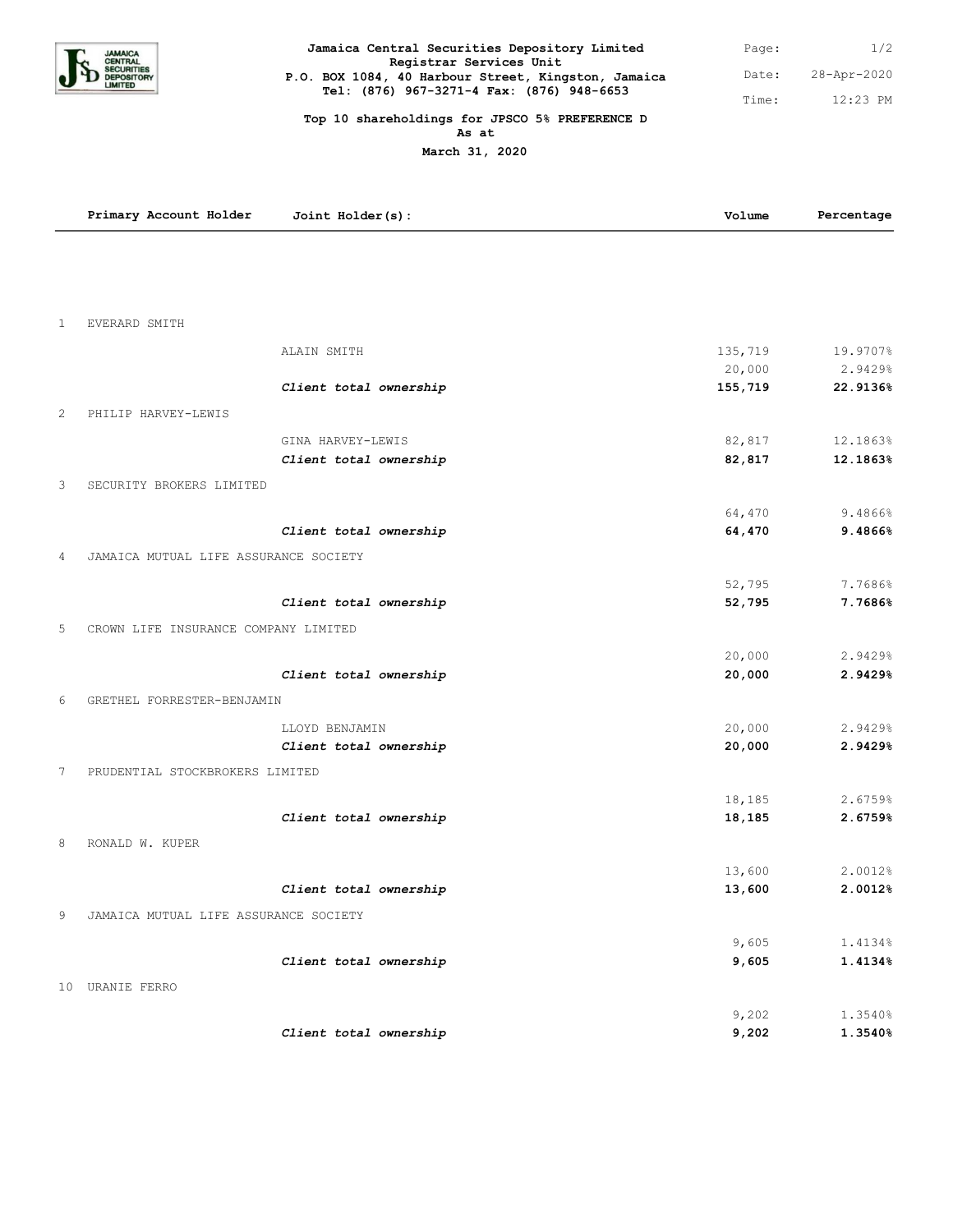

| Jamaica Central Securities Depository Limited                                  | Page: | 1/2         |
|--------------------------------------------------------------------------------|-------|-------------|
| Registrar Services Unit<br>P.O. BOX 1084, 40 Harbour Street, Kingston, Jamaica | Date: | 28-Apr-2020 |
| Tel: (876) 967-3271-4 Fax: (876) 948-6653                                      | Time: | $12:23$ PM  |

## **Top 10 shareholdings for JPSCO 5% PREFERENCE D As at**

**March 31, 2020**

| EVERARD SMITH<br>1<br>135,719<br>19.9707%<br>ALAIN SMITH<br>20,000<br>2.9429%<br>22.9136%<br>Client total ownership<br>155,719<br>PHILIP HARVEY-LEWIS<br>2<br>82,817<br>12.1863%<br>GINA HARVEY-LEWIS<br>82,817<br>12.1863%<br>Client total ownership<br>3<br>SECURITY BROKERS LIMITED<br>64,470<br>9.4866%<br>64,470<br>9.4866%<br>Client total ownership<br>$\overline{4}$<br>JAMAICA MUTUAL LIFE ASSURANCE SOCIETY<br>52,795<br>7.7686%<br>52,795<br>7.7686%<br>Client total ownership<br>5<br>CROWN LIFE INSURANCE COMPANY LIMITED<br>20,000<br>2.9429%<br>20,000<br>Client total ownership<br>2.9429%<br>GRETHEL FORRESTER-BENJAMIN<br>6<br>20,000<br>2.9429%<br>LLOYD BENJAMIN<br>20,000<br>Client total ownership<br>2.9429%<br>7<br>PRUDENTIAL STOCKBROKERS LIMITED<br>18,185<br>2.6759%<br>2.6759%<br>Client total ownership<br>18,185<br>8<br>RONALD W. KUPER<br>13,600<br>2.0012%<br>13,600<br>2.0012%<br>Client total ownership<br>9<br>JAMAICA MUTUAL LIFE ASSURANCE SOCIETY<br>9,605<br>9,605<br>1.4134%<br>Client total ownership<br>10 URANIE FERRO<br>9,202<br>1.3540% | Primary Account Holder | Joint Holder(s): | Volume | Percentage |
|-----------------------------------------------------------------------------------------------------------------------------------------------------------------------------------------------------------------------------------------------------------------------------------------------------------------------------------------------------------------------------------------------------------------------------------------------------------------------------------------------------------------------------------------------------------------------------------------------------------------------------------------------------------------------------------------------------------------------------------------------------------------------------------------------------------------------------------------------------------------------------------------------------------------------------------------------------------------------------------------------------------------------------------------------------------------------------------------|------------------------|------------------|--------|------------|
|                                                                                                                                                                                                                                                                                                                                                                                                                                                                                                                                                                                                                                                                                                                                                                                                                                                                                                                                                                                                                                                                                         |                        |                  |        |            |
|                                                                                                                                                                                                                                                                                                                                                                                                                                                                                                                                                                                                                                                                                                                                                                                                                                                                                                                                                                                                                                                                                         |                        |                  |        |            |
|                                                                                                                                                                                                                                                                                                                                                                                                                                                                                                                                                                                                                                                                                                                                                                                                                                                                                                                                                                                                                                                                                         |                        |                  |        |            |
|                                                                                                                                                                                                                                                                                                                                                                                                                                                                                                                                                                                                                                                                                                                                                                                                                                                                                                                                                                                                                                                                                         |                        |                  |        |            |
|                                                                                                                                                                                                                                                                                                                                                                                                                                                                                                                                                                                                                                                                                                                                                                                                                                                                                                                                                                                                                                                                                         |                        |                  |        |            |
|                                                                                                                                                                                                                                                                                                                                                                                                                                                                                                                                                                                                                                                                                                                                                                                                                                                                                                                                                                                                                                                                                         |                        |                  |        |            |
|                                                                                                                                                                                                                                                                                                                                                                                                                                                                                                                                                                                                                                                                                                                                                                                                                                                                                                                                                                                                                                                                                         |                        |                  |        |            |
|                                                                                                                                                                                                                                                                                                                                                                                                                                                                                                                                                                                                                                                                                                                                                                                                                                                                                                                                                                                                                                                                                         |                        |                  |        |            |
|                                                                                                                                                                                                                                                                                                                                                                                                                                                                                                                                                                                                                                                                                                                                                                                                                                                                                                                                                                                                                                                                                         |                        |                  |        |            |
|                                                                                                                                                                                                                                                                                                                                                                                                                                                                                                                                                                                                                                                                                                                                                                                                                                                                                                                                                                                                                                                                                         |                        |                  |        |            |
|                                                                                                                                                                                                                                                                                                                                                                                                                                                                                                                                                                                                                                                                                                                                                                                                                                                                                                                                                                                                                                                                                         |                        |                  |        |            |
|                                                                                                                                                                                                                                                                                                                                                                                                                                                                                                                                                                                                                                                                                                                                                                                                                                                                                                                                                                                                                                                                                         |                        |                  |        |            |
|                                                                                                                                                                                                                                                                                                                                                                                                                                                                                                                                                                                                                                                                                                                                                                                                                                                                                                                                                                                                                                                                                         |                        |                  |        |            |
|                                                                                                                                                                                                                                                                                                                                                                                                                                                                                                                                                                                                                                                                                                                                                                                                                                                                                                                                                                                                                                                                                         |                        |                  |        |            |
|                                                                                                                                                                                                                                                                                                                                                                                                                                                                                                                                                                                                                                                                                                                                                                                                                                                                                                                                                                                                                                                                                         |                        |                  |        |            |
|                                                                                                                                                                                                                                                                                                                                                                                                                                                                                                                                                                                                                                                                                                                                                                                                                                                                                                                                                                                                                                                                                         |                        |                  |        |            |
|                                                                                                                                                                                                                                                                                                                                                                                                                                                                                                                                                                                                                                                                                                                                                                                                                                                                                                                                                                                                                                                                                         |                        |                  |        |            |
|                                                                                                                                                                                                                                                                                                                                                                                                                                                                                                                                                                                                                                                                                                                                                                                                                                                                                                                                                                                                                                                                                         |                        |                  |        |            |
|                                                                                                                                                                                                                                                                                                                                                                                                                                                                                                                                                                                                                                                                                                                                                                                                                                                                                                                                                                                                                                                                                         |                        |                  |        |            |
|                                                                                                                                                                                                                                                                                                                                                                                                                                                                                                                                                                                                                                                                                                                                                                                                                                                                                                                                                                                                                                                                                         |                        |                  |        |            |
|                                                                                                                                                                                                                                                                                                                                                                                                                                                                                                                                                                                                                                                                                                                                                                                                                                                                                                                                                                                                                                                                                         |                        |                  |        |            |
|                                                                                                                                                                                                                                                                                                                                                                                                                                                                                                                                                                                                                                                                                                                                                                                                                                                                                                                                                                                                                                                                                         |                        |                  |        |            |
|                                                                                                                                                                                                                                                                                                                                                                                                                                                                                                                                                                                                                                                                                                                                                                                                                                                                                                                                                                                                                                                                                         |                        |                  |        |            |
|                                                                                                                                                                                                                                                                                                                                                                                                                                                                                                                                                                                                                                                                                                                                                                                                                                                                                                                                                                                                                                                                                         |                        |                  |        |            |
|                                                                                                                                                                                                                                                                                                                                                                                                                                                                                                                                                                                                                                                                                                                                                                                                                                                                                                                                                                                                                                                                                         |                        |                  |        |            |
|                                                                                                                                                                                                                                                                                                                                                                                                                                                                                                                                                                                                                                                                                                                                                                                                                                                                                                                                                                                                                                                                                         |                        |                  |        |            |
|                                                                                                                                                                                                                                                                                                                                                                                                                                                                                                                                                                                                                                                                                                                                                                                                                                                                                                                                                                                                                                                                                         |                        |                  |        |            |
|                                                                                                                                                                                                                                                                                                                                                                                                                                                                                                                                                                                                                                                                                                                                                                                                                                                                                                                                                                                                                                                                                         |                        |                  |        |            |
|                                                                                                                                                                                                                                                                                                                                                                                                                                                                                                                                                                                                                                                                                                                                                                                                                                                                                                                                                                                                                                                                                         |                        |                  |        |            |
|                                                                                                                                                                                                                                                                                                                                                                                                                                                                                                                                                                                                                                                                                                                                                                                                                                                                                                                                                                                                                                                                                         |                        |                  |        |            |
|                                                                                                                                                                                                                                                                                                                                                                                                                                                                                                                                                                                                                                                                                                                                                                                                                                                                                                                                                                                                                                                                                         |                        |                  |        |            |
|                                                                                                                                                                                                                                                                                                                                                                                                                                                                                                                                                                                                                                                                                                                                                                                                                                                                                                                                                                                                                                                                                         |                        |                  |        | 1.4134%    |
|                                                                                                                                                                                                                                                                                                                                                                                                                                                                                                                                                                                                                                                                                                                                                                                                                                                                                                                                                                                                                                                                                         |                        |                  |        |            |
|                                                                                                                                                                                                                                                                                                                                                                                                                                                                                                                                                                                                                                                                                                                                                                                                                                                                                                                                                                                                                                                                                         |                        |                  |        |            |
|                                                                                                                                                                                                                                                                                                                                                                                                                                                                                                                                                                                                                                                                                                                                                                                                                                                                                                                                                                                                                                                                                         |                        |                  |        |            |
| 9,202<br>1.3540%<br>Client total ownership                                                                                                                                                                                                                                                                                                                                                                                                                                                                                                                                                                                                                                                                                                                                                                                                                                                                                                                                                                                                                                              |                        |                  |        |            |